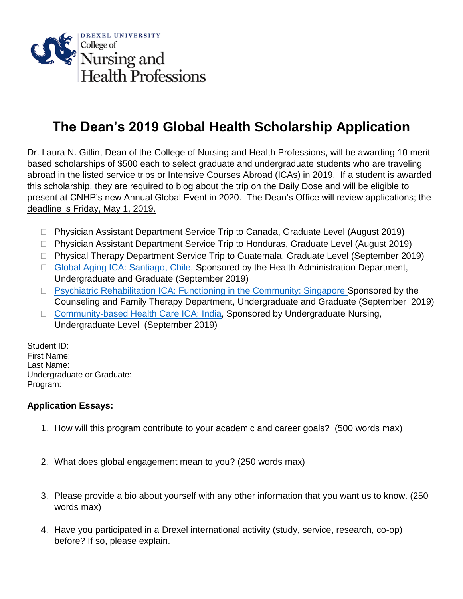

## **The Dean's 2019 Global Health Scholarship Application**

Dr. Laura N. Gitlin, Dean of the College of Nursing and Health Professions, will be awarding 10 meritbased scholarships of \$500 each to select graduate and undergraduate students who are traveling abroad in the listed service trips or Intensive Courses Abroad (ICAs) in 2019. If a student is awarded this scholarship, they are required to blog about the trip on the Daily Dose and will be eligible to present at CNHP's new Annual Global Event in 2020. The Dean's Office will review applications; the deadline is Friday, May 1, 2019.

- □ Physician Assistant Department Service Trip to Canada, Graduate Level (August 2019)
- Physician Assistant Department Service Trip to Honduras, Graduate Level (August 2019)
- □ Physical Therapy Department Service Trip to Guatemala, Graduate Level (September 2019)
- □ Global Aging [ICA: Santiago,](https://studyabroad.drexel.edu/?go=ChileGlobalAging) Chile, Sponsored by the Health Administration Department, Undergraduate and Graduate (September 2019)
- □ Psychiatric Rehabilitation [ICA: Functioning in the Community: Singapore](file:///C:/Users/st96s2hr/AppData/Local/Microsoft/Windows/INetCache/Content.Outlook/CDLHYY56/studyabroad.drexel.edu/%3fgo=SingaporePsychRehab) Sponsored by the Counseling and Family Therapy Department, Undergraduate and Graduate (September 2019)
- □ [Community-based Health Care ICA: India,](https://studyabroad.drexel.edu/index.cfm?FuseAction=Programs.ViewProgram&Program_ID=47819) Sponsored by Undergraduate Nursing, Undergraduate Level (September 2019)

Student ID: First Name: Last Name: Undergraduate or Graduate: Program:

## **Application Essays:**

- 1. How will this program contribute to your academic and career goals? (500 words max)
- 2. What does global engagement mean to you? (250 words max)
- 3. Please provide a bio about yourself with any other information that you want us to know. (250 words max)
- 4. Have you participated in a Drexel international activity (study, service, research, co-op) before? If so, please explain.